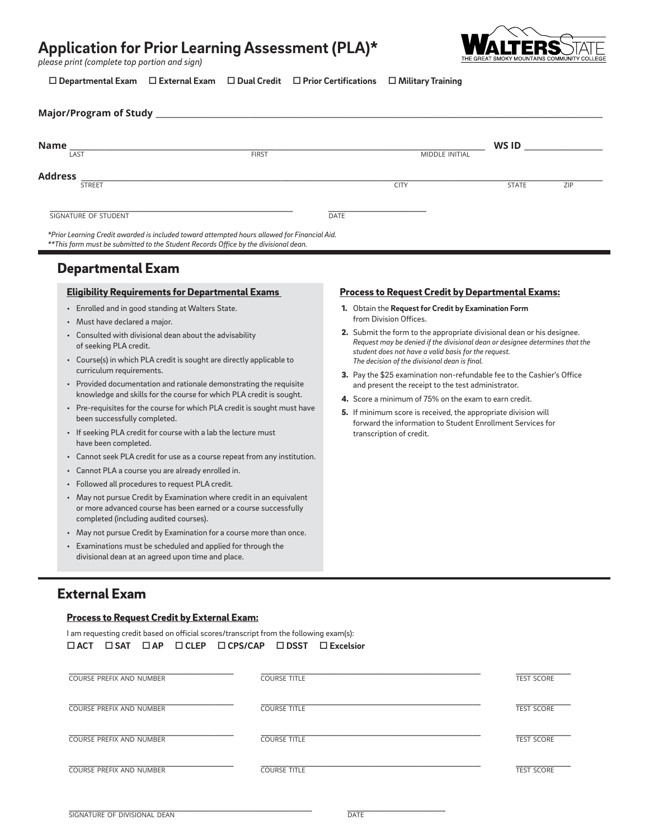# **Application for Prior Learning Assessment (PLA)\***

*please print (complete top portion and sign)*

LTERS

 **Departmental Exam External Exam Dual Credit Prior Certifications Military Training**

| Name                 |              |                       | WS ID        |     |
|----------------------|--------------|-----------------------|--------------|-----|
| LAST                 | <b>FIRST</b> | <b>MIDDLE INITIAL</b> |              |     |
| <b>Address</b>       |              |                       |              |     |
| <b>STREET</b>        |              | <b>CITY</b>           | <b>STATE</b> | ZIP |
|                      |              |                       |              |     |
| SIGNATURE OF STUDENT |              | <b>DATE</b>           |              |     |

*\*\*This form must be submitted to the Student Records Office by the divisional dean.*

## Departmental Exam

#### Eligibility Requirements for Departmental Exams

- Enrolled and in good standing at Walters State.
- Must have declared a major.
- Consulted with divisional dean about the advisability of seeking PLA credit.
- Course(s) in which PLA credit is sought are directly applicable to curriculum requirements.
- Provided documentation and rationale demonstrating the requisite knowledge and skills for the course for which PLA credit is sought.
- Pre-requisites for the course for which PLA credit is sought must have been successfully completed.
- If seeking PLA credit for course with a lab the lecture must have been completed.
- Cannot seek PLA credit for use as a course repeat from any institution.
- Cannot PLA a course you are already enrolled in.
- Followed all procedures to request PLA credit.
- May not pursue Credit by Examination where credit in an equivalent or more advanced course has been earned or a course successfully completed (including audited courses).
- May not pursue Credit by Examination for a course more than once.
- Examinations must be scheduled and applied for through the divisional dean at an agreed upon time and place.

#### Process to Request Credit by Departmental Exams:

- 1. Obtain the **Request for Credit by Examination Form** from Division Offices.
- 2. Submit the form to the appropriate divisional dean or his designee. *Request may be denied if the divisional dean or designee determines that the student does not have a valid basis for the request. The decision of the divisional dean is final.*
- 3. Pay the \$25 examination non-refundable fee to the Cashier's Office and present the receipt to the test administrator.
- 4. Score a minimum of 75% on the exam to earn credit.
- 5. If minimum score is received, the appropriate division will forward the information to Student Enrollment Services for transcription of credit.

### External Exam

#### Process to Request Credit by External Exam:

| I am requesting credit based on official scores/transcript from the following exam(s): |                                 |  |                                                                                                               |                     |  |  |                   |
|----------------------------------------------------------------------------------------|---------------------------------|--|---------------------------------------------------------------------------------------------------------------|---------------------|--|--|-------------------|
| $\Box$ ACT                                                                             | $\Box$ SAT                      |  | $\Box AP \quad \Box \text{CLEP} \quad \Box \text{CPS/CAP} \quad \Box \text{DSST} \quad \Box \text{Excelsior}$ |                     |  |  |                   |
|                                                                                        |                                 |  |                                                                                                               |                     |  |  |                   |
|                                                                                        | COURSE PREFIX AND NUMBER        |  |                                                                                                               | <b>COURSE TITLE</b> |  |  | <b>TEST SCORE</b> |
|                                                                                        |                                 |  |                                                                                                               |                     |  |  |                   |
|                                                                                        | COURSE PREFIX AND NUMBER        |  |                                                                                                               | <b>COURSE TITLE</b> |  |  | <b>TEST SCORE</b> |
|                                                                                        |                                 |  |                                                                                                               |                     |  |  |                   |
|                                                                                        | <b>COURSE PREFIX AND NUMBER</b> |  |                                                                                                               | <b>COURSE TITLE</b> |  |  | <b>TEST SCORE</b> |
|                                                                                        |                                 |  |                                                                                                               |                     |  |  |                   |
|                                                                                        | COURSE PREFIX AND NUMBER        |  |                                                                                                               | <b>COURSE TITLE</b> |  |  | <b>TEST SCORE</b> |
|                                                                                        |                                 |  |                                                                                                               |                     |  |  |                   |